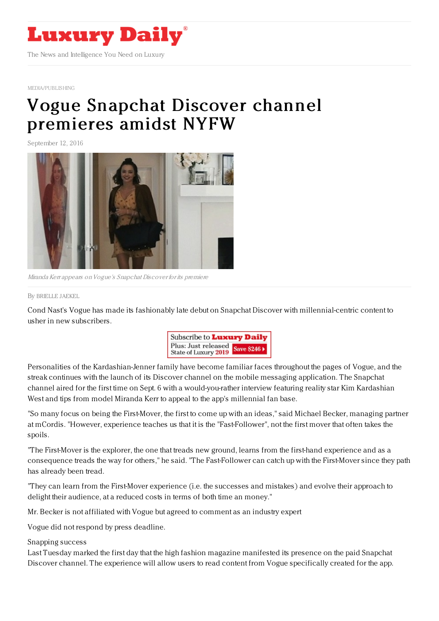

[MEDIA/PUBLISHING](https://www.luxurydaily.com/category/media/publishing)

## Vogue Snapchat Discover channel [premieres](https://www.luxurydaily.com/vogue-snapchat-discover-channel-premieres-amidst-nyfw/) amidst NYFW

September 12, 2016



Miranda Kerr appears onVogue's Snapchat Discover for its premiere

By [BRIELLE](file:///author/brielle-jaekel) JAEKEL

Cond Nast's Vogue has made its fashionably late debut on Snapchat Discover with millennial-centric content to usher in new subscribers.



Personalities of the Kardashian-Jenner family have become familiar faces throughout the pages of Vogue, and the streak continues with the launch of its Discover channel on the mobile messaging application. The Snapchat channel aired for the first time on Sept. 6 with a would-you-rather interview featuring reality star Kim Kardashian West and tips from model Miranda Kerr to appeal to the app's millennial fan base.

"So many focus on being the First-Mover, the first to come up with an ideas," said Michael Becker, managing partner at mCordis. "However, experience teaches us that it is the "Fast-Follower", not the first mover that often takes the spoils.

"The First-Mover is the explorer, the one that treads new ground, learns from the first-hand experience and as a consequence treads the way for others," he said. "The Fast-Follower can catch up with the First-Mover since they path has already been tread.

"They can learn from the First-Mover experience (i.e. the successes and mistakes) and evolve their approach to delight their audience, at a reduced costs in terms of both time an money."

Mr. Becker is not affiliated with Vogue but agreed to comment as an industry expert

Vogue did not respond by press deadline.

## Snapping success

Last Tuesday marked the first day that the high fashion magazine manifested its presence on the paid Snapchat Discover channel. The experience will allow users to read content from Vogue specifically created for the app.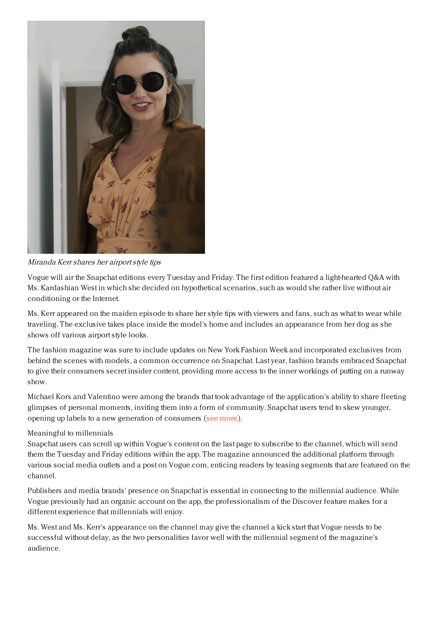

Miranda Kerr shares her airportstyle tips

Vogue will air the Snapchat editions every Tuesday and Friday. The first edition featured a light-hearted Q&A with Ms. Kardashian West in which she decided on hypothetical scenarios, such as would she rather live without air conditioning or the Internet.

Ms. Kerr appeared on the maiden episode to share her style tips with viewers and fans, such as what to wear while traveling. The exclusive takes place inside the model's home and includes an appearance from her dog as she shows off various airport style looks.

The fashion magazine was sure to include updates on New York Fashion Week and incorporated exclusives from behind the scenes with models, a common occurrence on Snapchat. Last year, fashion brands embraced Snapchat to give their consumers secret insider content, providing more access to the inner workings of putting on a runway show.

Michael Kors and Valentino were among the brands that took advantage of the application's ability to share fleeting glimpses of personal moments, inviting them into a form of community. Snapchat users tend to skew younger, opening up labels to a new generation of consumers (see [more\)](https://www.luxurydaily.com/snapchat-enables-intimate-storytelling-during-fashion-month/).

## Meaningful to millennials

Snapchat users can scroll up within Vogue's content on the last page to subscribe to the channel, which will send them the Tuesday and Friday editions within the app. The magazine announced the additional platform through various social media outlets and a post on Vogue.com, enticing readers by teasing segments that are featured on the channel.

Publishers and media brands' presence on Snapchat is essential in connecting to the millennial audience. While Vogue previously had an organic account on the app, the professionalism of the Discover feature makes for a different experience that millennials will enjoy.

Ms. West and Ms. Kerr's appearance on the channel may give the channel a kick start that Vogue needs to be successful without delay, as the two personalities favor well with the millennial segment of the magazine's audience.